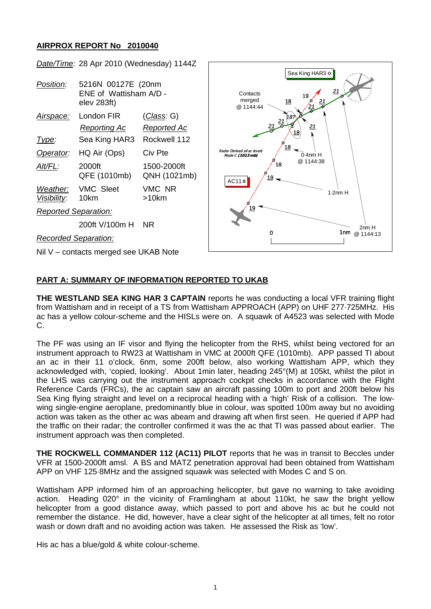# **AIRPROX REPORT No 2010040**



# **PART A: SUMMARY OF INFORMATION REPORTED TO UKAB**

**THE WESTLAND SEA KING HAR 3 CAPTAIN** reports he was conducting a local VFR training flight from Wattisham and in receipt of a TS from Wattisham APPROACH (APP) on UHF 277·725MHz. His ac has a yellow colour-scheme and the HISLs were on. A squawk of A4523 was selected with Mode C.

The PF was using an IF visor and flying the helicopter from the RHS, whilst being vectored for an instrument approach to RW23 at Wattisham in VMC at 2000ft QFE (1010mb). APP passed TI about an ac in their 11 o'clock, 6nm, some 200ft below, also working Wattisham APP, which they acknowledged with, 'copied, looking'. About 1min later, heading 245°(M) at 105kt, whilst the pilot in the LHS was carrying out the instrument approach cockpit checks in accordance with the Flight Reference Cards (FRCs), the ac captain saw an aircraft passing 100m to port and 200ft below his Sea King flying straight and level on a reciprocal heading with a 'high' Risk of a collision. The lowwing single-engine aeroplane, predominantly blue in colour, was spotted 100m away but no avoiding action was taken as the other ac was abeam and drawing aft when first seen. He queried if APP had the traffic on their radar; the controller confirmed it was the ac that TI was passed about earlier. The instrument approach was then completed.

**THE ROCKWELL COMMANDER 112 (AC11) PILOT** reports that he was in transit to Beccles under VFR at 1500-2000ft amsl. A BS and MATZ penetration approval had been obtained from Wattisham APP on VHF 125·8MHz and the assigned squawk was selected with Modes C and S on.

Wattisham APP informed him of an approaching helicopter, but gave no warning to take avoiding action. Heading 020° in the vicinity of Framlingham at about 110kt, he saw the bright yellow helicopter from a good distance away, which passed to port and above his ac but he could not remember the distance. He did, however, have a clear sight of the helicopter at all times, felt no rotor wash or down draft and no avoiding action was taken. He assessed the Risk as 'low'.

His ac has a blue/gold & white colour-scheme.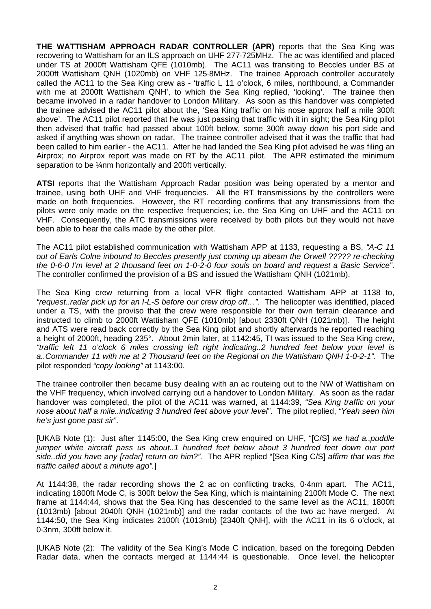**THE WATTISHAM APPROACH RADAR CONTROLLER (APR)** reports that the Sea King was recovering to Wattisham for an ILS approach on UHF 277·725MHz. The ac was identified and placed under TS at 2000ft Wattisham QFE (1010mb). The AC11 was transiting to Beccles under BS at 2000ft Wattisham QNH (1020mb) on VHF 125·8MHz. The trainee Approach controller accurately called the AC11 to the Sea King crew as - 'traffic L 11 o'clock, 6 miles, northbound, a Commander with me at 2000ft Wattisham QNH', to which the Sea King replied, 'looking'. The trainee then became involved in a radar handover to London Military. As soon as this handover was completed the trainee advised the AC11 pilot about the, 'Sea King traffic on his nose approx half a mile 300ft above'. The AC11 pilot reported that he was just passing that traffic with it in sight; the Sea King pilot then advised that traffic had passed about 100ft below, some 300ft away down his port side and asked if anything was shown on radar. The trainee controller advised that it was the traffic that had been called to him earlier - the AC11. After he had landed the Sea King pilot advised he was filing an Airprox; no Airprox report was made on RT by the AC11 pilot. The APR estimated the minimum separation to be ¼nm horizontally and 200ft vertically.

**ATSI** reports that the Wattisham Approach Radar position was being operated by a mentor and trainee, using both UHF and VHF frequencies. All the RT transmissions by the controllers were made on both frequencies. However, the RT recording confirms that any transmissions from the pilots were only made on the respective frequencies; i.e. the Sea King on UHF and the AC11 on VHF. Consequently, the ATC transmissions were received by both pilots but they would not have been able to hear the calls made by the other pilot.

The AC11 pilot established communication with Wattisham APP at 1133, requesting a BS, *"A-C 11 out of Earls Colne inbound to Beccles presently just coming up abeam the Orwell ????? re-checking the 0-6-0 I'm level at 2 thousand feet on 1-0-2-0 four souls on board and request a Basic Service"*. The controller confirmed the provision of a BS and issued the Wattisham QNH (1021mb).

The Sea King crew returning from a local VFR flight contacted Wattisham APP at 1138 to, *"request..radar pick up for an I-L-S before our crew drop off…"*. The helicopter was identified, placed under a TS, with the proviso that the crew were responsible for their own terrain clearance and instructed to climb to 2000ft Wattisham QFE (1010mb) [about 2330ft QNH (1021mb)]. The height and ATS were read back correctly by the Sea King pilot and shortly afterwards he reported reaching a height of 2000ft, heading 235°. About 2min later, at 1142:45, TI was issued to the Sea King crew, *"traffic left 11 o'clock 6 miles crossing left right indicating..2 hundred feet below your level is a..Commander 11 with me at 2 Thousand feet on the Regional on the Wattisham QNH 1-0-2-1"*. The pilot responded *"copy looking"* at 1143:00.

The trainee controller then became busy dealing with an ac routeing out to the NW of Wattisham on the VHF frequency, which involved carrying out a handover to London Military. As soon as the radar handover was completed, the pilot of the AC11 was warned, at 1144:39, *"Sea King traffic on your nose about half a mile..indicating 3 hundred feet above your level"*. The pilot replied, *"Yeah seen him he's just gone past sir"*.

[UKAB Note (1): Just after 1145:00, the Sea King crew enquired on UHF, "[C/S] *we had a..puddle jumper white aircraft pass us about..1 hundred feet below about 3 hundred feet down our port side..did you have any [radar] return on him?".* The APR replied "[Sea King C/S] *affirm that was the traffic called about a minute ago".*]

At 1144:38, the radar recording shows the 2 ac on conflicting tracks, 0·4nm apart. The AC11, indicating 1800ft Mode C, is 300ft below the Sea King, which is maintaining 2100ft Mode C. The next frame at 1144:44, shows that the Sea King has descended to the same level as the AC11, 1800ft (1013mb) [about 2040ft QNH (1021mb)] and the radar contacts of the two ac have merged. At 1144:50, the Sea King indicates 2100ft (1013mb) [2340ft QNH], with the AC11 in its 6 o'clock, at 0·3nm, 300ft below it.

[UKAB Note (2): The validity of the Sea King's Mode C indication, based on the foregoing Debden Radar data, when the contacts merged at 1144:44 is questionable. Once level, the helicopter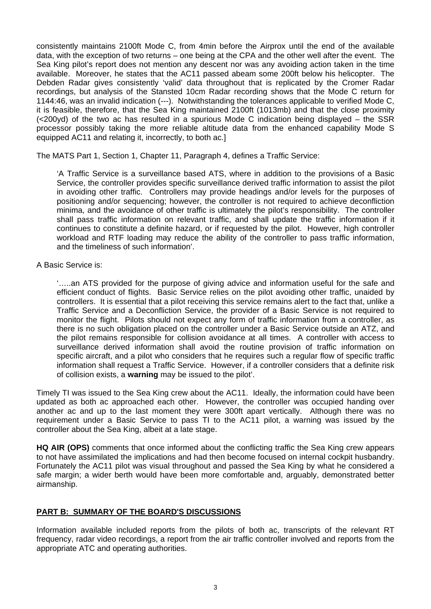consistently maintains 2100ft Mode C, from 4min before the Airprox until the end of the available data, with the exception of two returns – one being at the CPA and the other well after the event. The Sea King pilot's report does not mention any descent nor was any avoiding action taken in the time available. Moreover, he states that the AC11 passed abeam some 200ft below his helicopter. The Debden Radar gives consistently 'valid' data throughout that is replicated by the Cromer Radar recordings, but analysis of the Stansted 10cm Radar recording shows that the Mode C return for 1144:46, was an invalid indication (---). Notwithstanding the tolerances applicable to verified Mode C, it is feasible, therefore, that the Sea King maintained 2100ft (1013mb) and that the close proximity (<200yd) of the two ac has resulted in a spurious Mode C indication being displayed – the SSR processor possibly taking the more reliable altitude data from the enhanced capability Mode S equipped AC11 and relating it, incorrectly, to both ac.]

The MATS Part 1, Section 1, Chapter 11, Paragraph 4, defines a Traffic Service:

'A Traffic Service is a surveillance based ATS, where in addition to the provisions of a Basic Service, the controller provides specific surveillance derived traffic information to assist the pilot in avoiding other traffic. Controllers may provide headings and/or levels for the purposes of positioning and/or sequencing; however, the controller is not required to achieve deconfliction minima, and the avoidance of other traffic is ultimately the pilot's responsibility. The controller shall pass traffic information on relevant traffic, and shall update the traffic information if it continues to constitute a definite hazard, or if requested by the pilot. However, high controller workload and RTF loading may reduce the ability of the controller to pass traffic information, and the timeliness of such information'.

## A Basic Service is:

'…..an ATS provided for the purpose of giving advice and information useful for the safe and efficient conduct of flights. Basic Service relies on the pilot avoiding other traffic, unaided by controllers. It is essential that a pilot receiving this service remains alert to the fact that, unlike a Traffic Service and a Deconfliction Service, the provider of a Basic Service is not required to monitor the flight. Pilots should not expect any form of traffic information from a controller, as there is no such obligation placed on the controller under a Basic Service outside an ATZ, and the pilot remains responsible for collision avoidance at all times. A controller with access to surveillance derived information shall avoid the routine provision of traffic information on specific aircraft, and a pilot who considers that he requires such a regular flow of specific traffic information shall request a Traffic Service. However, if a controller considers that a definite risk of collision exists, a **warning** may be issued to the pilot'.

Timely TI was issued to the Sea King crew about the AC11. Ideally, the information could have been updated as both ac approached each other. However, the controller was occupied handing over another ac and up to the last moment they were 300ft apart vertically. Although there was no requirement under a Basic Service to pass TI to the AC11 pilot, a warning was issued by the controller about the Sea King, albeit at a late stage.

**HQ AIR (OPS)** comments that once informed about the conflicting traffic the Sea King crew appears to not have assimilated the implications and had then become focused on internal cockpit husbandry. Fortunately the AC11 pilot was visual throughout and passed the Sea King by what he considered a safe margin; a wider berth would have been more comfortable and, arguably, demonstrated better airmanship.

# **PART B: SUMMARY OF THE BOARD'S DISCUSSIONS**

Information available included reports from the pilots of both ac, transcripts of the relevant RT frequency, radar video recordings, a report from the air traffic controller involved and reports from the appropriate ATC and operating authorities.